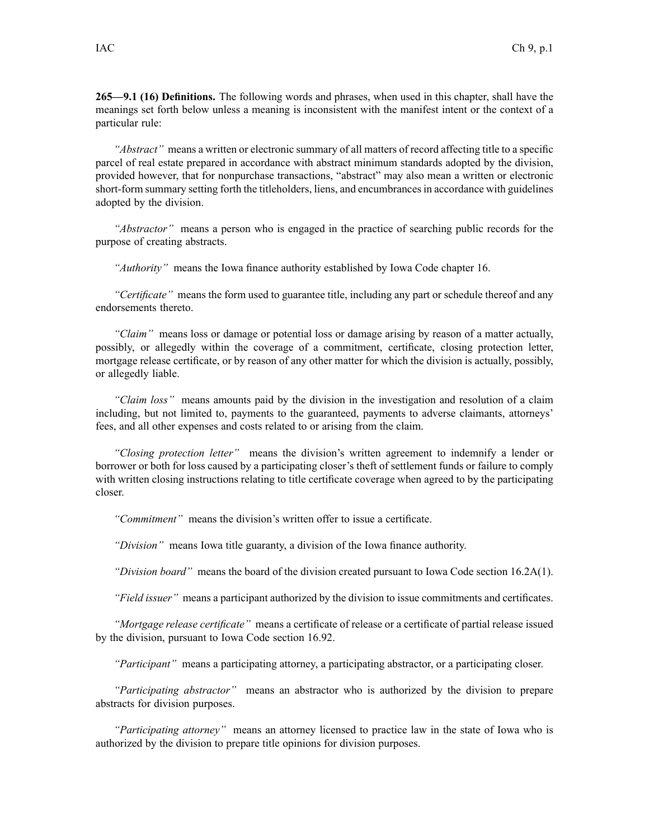**265—9.1 (16) Definitions.** The following words and phrases, when used in this chapter, shall have the meanings set forth below unless <sup>a</sup> meaning is inconsistent with the manifest intent or the context of <sup>a</sup> particular rule:

*"Abstract"* means <sup>a</sup> written or electronic summary of all matters of record affecting title to <sup>a</sup> specific parcel of real estate prepared in accordance with abstract minimum standards adopted by the division, provided however, that for nonpurchase transactions, "abstract" may also mean <sup>a</sup> written or electronic short-form summary setting forth the titleholders, liens, and encumbrancesin accordance with guidelines adopted by the division.

*"Abstractor"* means <sup>a</sup> person who is engaged in the practice of searching public records for the purpose of creating abstracts.

*"Authority"* means the Iowa finance authority established by Iowa Code chapter [16](https://www.legis.iowa.gov/docs/ico/chapter/16.pdf).

*"Certificate"* means the form used to guarantee title, including any par<sup>t</sup> or schedule thereof and any endorsements thereto.

*"Claim"* means loss or damage or potential loss or damage arising by reason of <sup>a</sup> matter actually, possibly, or allegedly within the coverage of <sup>a</sup> commitment, certificate, closing protection letter, mortgage release certificate, or by reason of any other matter for which the division is actually, possibly, or allegedly liable.

*"Claim loss"* means amounts paid by the division in the investigation and resolution of <sup>a</sup> claim including, but not limited to, payments to the guaranteed, payments to adverse claimants, attorneys' fees, and all other expenses and costs related to or arising from the claim.

*"Closing protection letter"* means the division's written agreemen<sup>t</sup> to indemnify <sup>a</sup> lender or borrower or both for loss caused by <sup>a</sup> participating closer's theft of settlement funds or failure to comply with written closing instructions relating to title certificate coverage when agreed to by the participating closer.

*"Commitment"* means the division's written offer to issue <sup>a</sup> certificate.

*"Division"* means Iowa title guaranty, <sup>a</sup> division of the Iowa finance authority.

*"Division board"* means the board of the division created pursuan<sup>t</sup> to Iowa Code section [16.2A\(1\)](https://www.legis.iowa.gov/docs/ico/section/16.2A.pdf).

*"Field issuer"* means <sup>a</sup> participant authorized by the division to issue commitments and certificates.

*"Mortgage release certificate"* means <sup>a</sup> certificate of release or <sup>a</sup> certificate of partial release issued by the division, pursuan<sup>t</sup> to Iowa Code section [16.92](https://www.legis.iowa.gov/docs/ico/section/16.92.pdf).

*"Participant"* means <sup>a</sup> participating attorney, <sup>a</sup> participating abstractor, or <sup>a</sup> participating closer.

*"Participating abstractor"* means an abstractor who is authorized by the division to prepare abstracts for division purposes.

*"Participating attorney"* means an attorney licensed to practice law in the state of Iowa who is authorized by the division to prepare title opinions for division purposes.